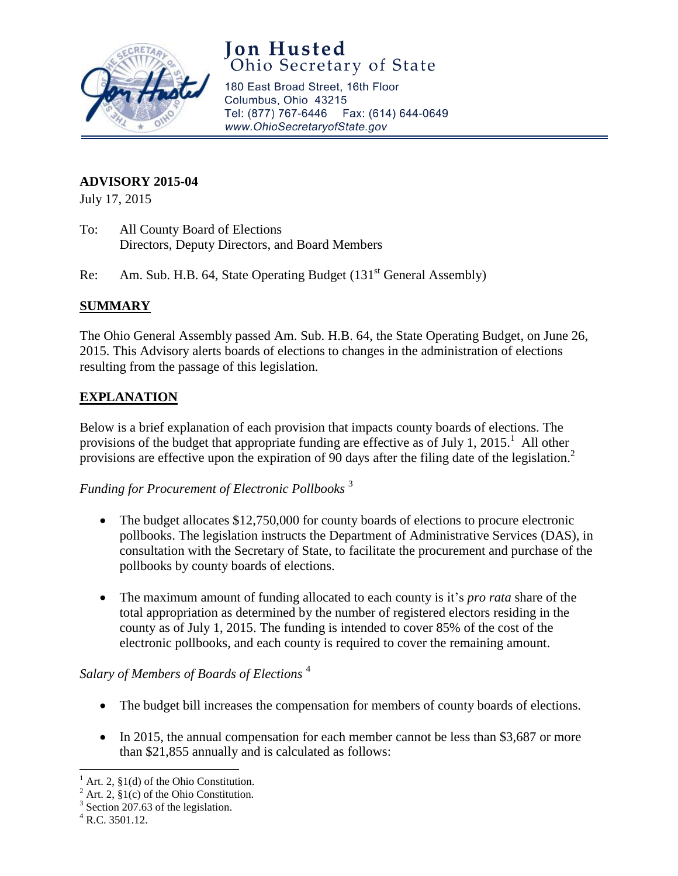

# **Jon Husted**<br>Ohio Secretary of State

180 East Broad Street, 16th Floor Columbus, Ohio 43215 Tel: (877) 767-6446 Fax: (614) 644-0649 www.OhioSecretaryofState.gov

#### **ADVISORY 2015-04**

July 17, 2015

- To: All County Board of Elections Directors, Deputy Directors, and Board Members
- Re: Am. Sub. H.B. 64, State Operating Budget (131<sup>st</sup> General Assembly)

#### **SUMMARY**

The Ohio General Assembly passed Am. Sub. H.B. 64, the State Operating Budget, on June 26, 2015. This Advisory alerts boards of elections to changes in the administration of elections resulting from the passage of this legislation.

#### **EXPLANATION**

Below is a brief explanation of each provision that impacts county boards of elections. The provisions of the budget that appropriate funding are effective as of July 1, 2015.<sup>1</sup> All other provisions are effective upon the expiration of 90 days after the filing date of the legislation.<sup>2</sup>

*Funding for Procurement of Electronic Pollbooks* <sup>3</sup>

- The budget allocates \$12,750,000 for county boards of elections to procure electronic pollbooks. The legislation instructs the Department of Administrative Services (DAS), in consultation with the Secretary of State, to facilitate the procurement and purchase of the pollbooks by county boards of elections.
- The maximum amount of funding allocated to each county is it's *pro rata* share of the total appropriation as determined by the number of registered electors residing in the county as of July 1, 2015. The funding is intended to cover 85% of the cost of the electronic pollbooks, and each county is required to cover the remaining amount.

#### *Salary of Members of Boards of Elections* <sup>4</sup>

- The budget bill increases the compensation for members of county boards of elections.
- In 2015, the annual compensation for each member cannot be less than \$3,687 or more than \$21,855 annually and is calculated as follows:

 $\overline{\phantom{a}}$ Art. 2,  $\S1(d)$  of the Ohio Constitution.

Art. 2,  $\S1(c)$  of the Ohio Constitution.

<sup>&</sup>lt;sup>3</sup> Section 207.63 of the legislation.

 $^{4}$  R.C. 3501.12.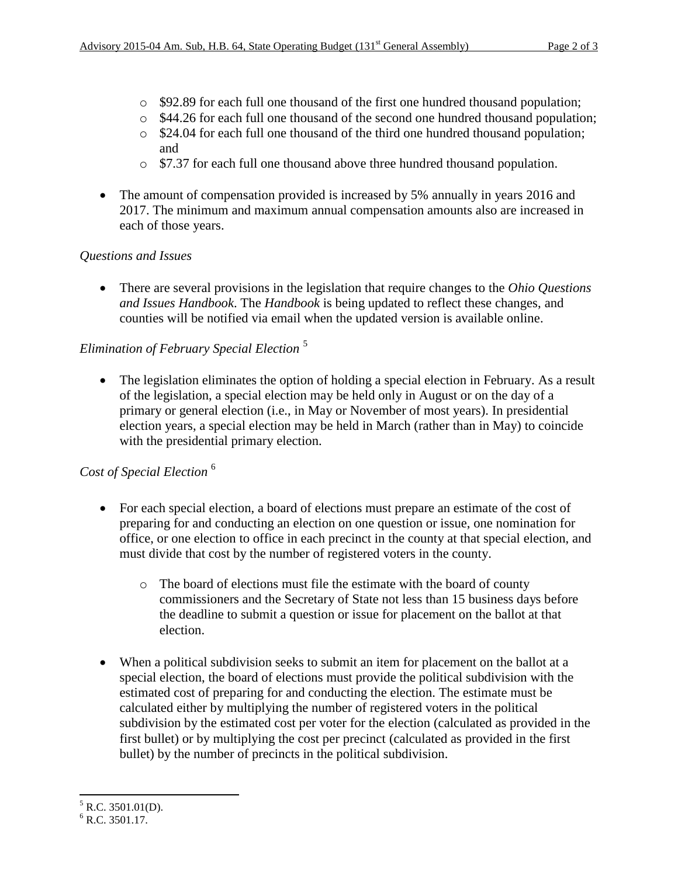- o \$92.89 for each full one thousand of the first one hundred thousand population;
- o \$44.26 for each full one thousand of the second one hundred thousand population;
- o \$24.04 for each full one thousand of the third one hundred thousand population; and
- o \$7.37 for each full one thousand above three hundred thousand population.
- The amount of compensation provided is increased by 5% annually in years 2016 and 2017. The minimum and maximum annual compensation amounts also are increased in each of those years.

#### *Questions and Issues*

 There are several provisions in the legislation that require changes to the *Ohio Questions and Issues Handbook*. The *Handbook* is being updated to reflect these changes, and counties will be notified via email when the updated version is available online.

### *Elimination of February Special Election* <sup>5</sup>

• The legislation eliminates the option of holding a special election in February. As a result of the legislation, a special election may be held only in August or on the day of a primary or general election (i.e., in May or November of most years). In presidential election years, a special election may be held in March (rather than in May) to coincide with the presidential primary election.

#### *Cost of Special Election* <sup>6</sup>

- For each special election, a board of elections must prepare an estimate of the cost of preparing for and conducting an election on one question or issue, one nomination for office, or one election to office in each precinct in the county at that special election, and must divide that cost by the number of registered voters in the county.
	- o The board of elections must file the estimate with the board of county commissioners and the Secretary of State not less than 15 business days before the deadline to submit a question or issue for placement on the ballot at that election.
- When a political subdivision seeks to submit an item for placement on the ballot at a special election, the board of elections must provide the political subdivision with the estimated cost of preparing for and conducting the election. The estimate must be calculated either by multiplying the number of registered voters in the political subdivision by the estimated cost per voter for the election (calculated as provided in the first bullet) or by multiplying the cost per precinct (calculated as provided in the first bullet) by the number of precincts in the political subdivision.

 $\overline{\phantom{a}}$  $5$  R.C. 3501.01(D).

 $6$  R.C. 3501.17.